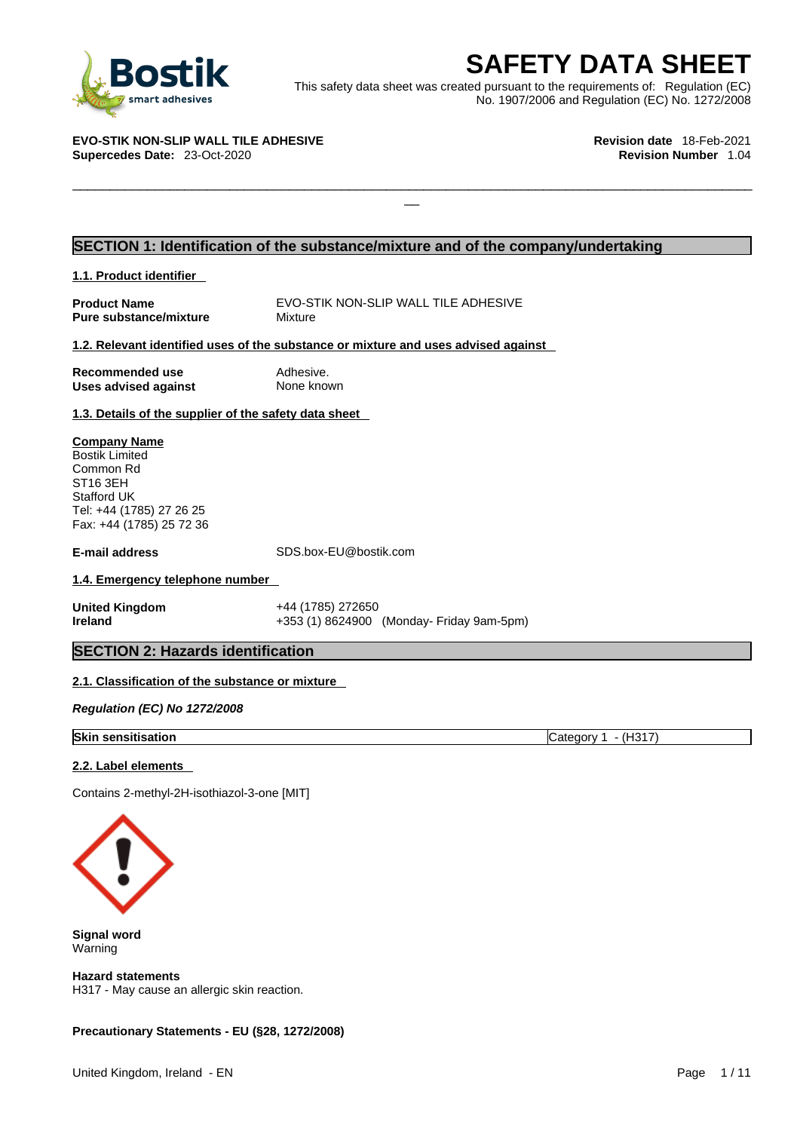

**SAFETY DATA SHEET**<br>
et was created pursuant to the requirements of: Regulation (EC)<br>
No. 1907/2006 and Regulation (EC) No. 1272/2008<br>
Revision date 18-Feb-2021<br>
Revision Number 1.04 This safety data sheet was created pursuant to the requirements of: Regulation (EC) No. 1907/2006 and Regulation (EC) No. 1272/2008

 $\Box$ 

#### **EVO-STIK NON-SLIP WALL TILE ADHESIVE Revision date** 18-Feb-2021 **Supercedes Date: 23-Oct-2020**

# **SECTION 1: Identification of the substance/mixture and of the company/undertaking**

**1.1. Product identifier** 

**Pure substance/mixture** 

**Product Name** EVO-STIK NON-SLIP WALL TILE ADHESIVE<br> **Pure substance/mixture** Mixture Mixture

## **1.2. Relevant identified uses of the substance or mixture and uses advised against**

**Recommended use Adhesive. Uses advised against** None known

### **1.3. Details of the supplier of the safety data sheet**

**Company Name** Bostik Limited Common Rd ST16 3EH Stafford UK Tel: +44 (1785) 27 26 25 Fax: +44 (1785) 25 72 36

**E-mail address** SDS.box-EU@bostik.com

# **1.4. Emergency telephone number**

**United Kingdom** +44 (1785) 272650

**Ireland** +353 (1) 8624900 (Monday- Friday 9am-5pm)

# **SECTION 2: Hazards identification**

# **2.1. Classification of the substance or mixture**

*Regulation (EC) No 1272/2008* 

### **Skin sensitisation** Category 1 - (H317)

### **2.2. Label elements**

Contains 2-methyl-2H-isothiazol-3-one [MIT]



**Signal word** Warning

**Hazard statements** H317 - May cause an allergic skin reaction.

# **Precautionary Statements - EU (§28, 1272/2008)**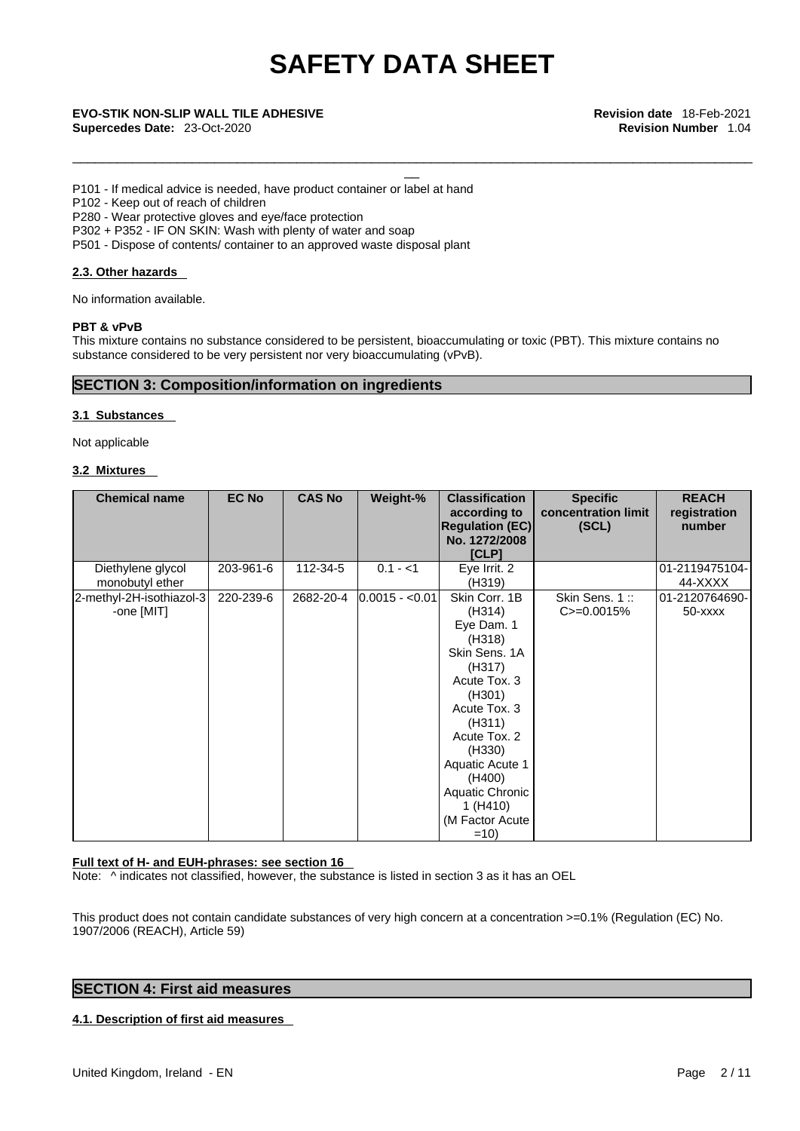\_\_\_\_\_\_\_\_\_\_\_\_\_\_\_\_\_\_\_\_\_\_\_\_\_\_\_\_\_\_\_\_\_\_\_\_\_\_\_\_\_\_\_\_\_\_\_\_\_\_\_\_\_\_\_\_\_\_\_\_\_\_\_\_\_\_\_\_\_\_\_\_\_\_\_\_\_\_\_\_\_\_\_\_\_\_\_\_\_\_\_

# \_\_ **EVO-STIK NON-SLIP WALL TILE ADHESIVE Revision date** 18-Feb-2021 **Supercedes Date:** 23-Oct-2020 **Revision Number** 1.04

P101 - If medical advice is needed, have product container or label at hand

P102 - Keep out of reach of children

P280 - Wear protective gloves and eye/face protection

P302 + P352 - IF ON SKIN: Wash with plenty of water and soap

P501 - Dispose of contents/ container to an approved waste disposal plant

### **2.3. Other hazards**

No information available.

#### **PBT & vPvB**

This mixture contains no substance considered to be persistent, bioaccumulating or toxic (PBT). This mixture contains no substance considered to be very persistent nor very bioaccumulating (vPvB).

## **SECTION 3: Composition/information on ingredients**

#### **3.1 Substances**

Not applicable

### **3.2 Mixtures**

| <b>Chemical name</b>                   | <b>EC No</b> | <b>CAS No</b> | Weight-%        | <b>Classification</b><br>according to                                                                                                                                                                                                           | <b>Specific</b><br>concentration limit | <b>REACH</b><br>registration  |  |
|----------------------------------------|--------------|---------------|-----------------|-------------------------------------------------------------------------------------------------------------------------------------------------------------------------------------------------------------------------------------------------|----------------------------------------|-------------------------------|--|
|                                        |              |               |                 | <b>Regulation (EC)</b><br>No. 1272/2008<br><b>[CLP]</b>                                                                                                                                                                                         | (SCL)                                  | number                        |  |
| Diethylene glycol<br>monobutyl ether   | 203-961-6    | 112-34-5      | $0.1 - 1$       | Eye Irrit. 2<br>(H319)                                                                                                                                                                                                                          |                                        | 01-2119475104-<br>44-XXXX     |  |
| 2-methyl-2H-isothiazol-3<br>-one [MIT] | 220-239-6    | 2682-20-4     | $0.0015 - 0.01$ | Skin Corr. 1B<br>(H314)<br>Eye Dam. 1<br>(H318)<br>Skin Sens. 1A<br>(H317)<br>Acute Tox. 3<br>(H301)<br>Acute Tox. 3<br>(H311)<br>Acute Tox. 2<br>(H330)<br>Aquatic Acute 1<br>(H400)<br>Aquatic Chronic<br>1(H410)<br>(M Factor Acute<br>$=10$ | Skin Sens. 1::<br>$C = 0.0015%$        | 01-2120764690-<br>$50 -$ xxxx |  |

#### **Full text of H- and EUH-phrases: see section 16**

Note: ^ indicates not classified, however, the substance is listed in section 3 as it has an OEL

This product does not contain candidate substances of very high concern at a concentration >=0.1% (Regulation (EC) No. 1907/2006 (REACH), Article 59)

# **SECTION 4: First aid measures**

### **4.1. Description of first aid measures**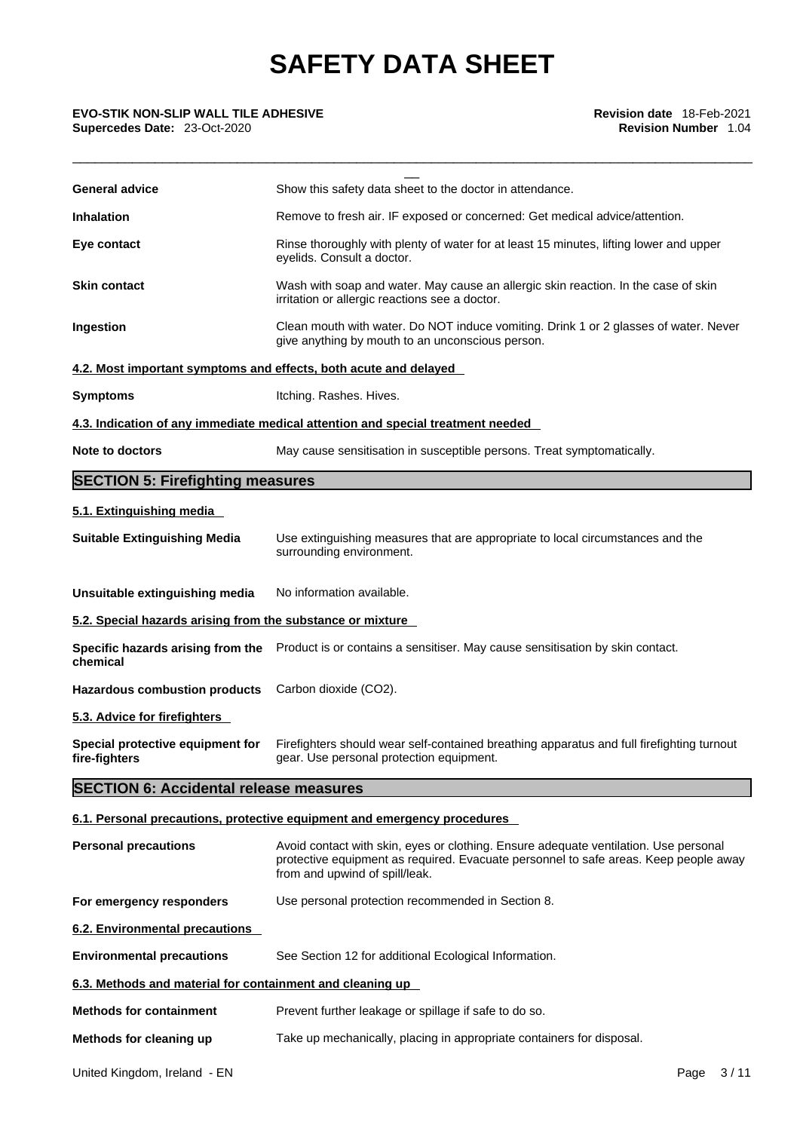# **Supercedes Date:** 23-Oct-2020 **Revision Number** 1.04

| <b>EVO-STIK NON-SLIP WALL TILE ADHESIVE</b><br>Supercedes Date: 23-Oct-2020 | Revision date 18-Feb-2021<br><b>Revision Number</b> 1.04                                                                                                                                                       |  |  |  |
|-----------------------------------------------------------------------------|----------------------------------------------------------------------------------------------------------------------------------------------------------------------------------------------------------------|--|--|--|
| <b>General advice</b>                                                       | Show this safety data sheet to the doctor in attendance.                                                                                                                                                       |  |  |  |
| <b>Inhalation</b>                                                           | Remove to fresh air. IF exposed or concerned: Get medical advice/attention.                                                                                                                                    |  |  |  |
| Eye contact                                                                 | Rinse thoroughly with plenty of water for at least 15 minutes, lifting lower and upper<br>eyelids. Consult a doctor.                                                                                           |  |  |  |
| <b>Skin contact</b>                                                         | Wash with soap and water. May cause an allergic skin reaction. In the case of skin<br>irritation or allergic reactions see a doctor.                                                                           |  |  |  |
| Ingestion                                                                   | Clean mouth with water. Do NOT induce vomiting. Drink 1 or 2 glasses of water. Never<br>give anything by mouth to an unconscious person.                                                                       |  |  |  |
|                                                                             | 4.2. Most important symptoms and effects, both acute and delayed                                                                                                                                               |  |  |  |
| <b>Symptoms</b>                                                             | Itching. Rashes. Hives.                                                                                                                                                                                        |  |  |  |
|                                                                             | 4.3. Indication of any immediate medical attention and special treatment needed                                                                                                                                |  |  |  |
| Note to doctors                                                             | May cause sensitisation in susceptible persons. Treat symptomatically.                                                                                                                                         |  |  |  |
| <b>SECTION 5: Firefighting measures</b>                                     |                                                                                                                                                                                                                |  |  |  |
| 5.1. Extinguishing media                                                    |                                                                                                                                                                                                                |  |  |  |
| <b>Suitable Extinguishing Media</b>                                         | Use extinguishing measures that are appropriate to local circumstances and the<br>surrounding environment.                                                                                                     |  |  |  |
| Unsuitable extinguishing media                                              | No information available.                                                                                                                                                                                      |  |  |  |
| 5.2. Special hazards arising from the substance or mixture                  |                                                                                                                                                                                                                |  |  |  |
| chemical                                                                    | Specific hazards arising from the Product is or contains a sensitiser. May cause sensitisation by skin contact.                                                                                                |  |  |  |
| <b>Hazardous combustion products</b>                                        | Carbon dioxide (CO2).                                                                                                                                                                                          |  |  |  |
| 5.3. Advice for firefighters                                                |                                                                                                                                                                                                                |  |  |  |
| Special protective equipment for<br>fire-fighters                           | Firefighters should wear self-contained breathing apparatus and full firefighting turnout<br>gear. Use personal protection equipment.                                                                          |  |  |  |
| <b>SECTION 6: Accidental release measures</b>                               |                                                                                                                                                                                                                |  |  |  |
|                                                                             | 6.1. Personal precautions, protective equipment and emergency procedures                                                                                                                                       |  |  |  |
| <b>Personal precautions</b>                                                 | Avoid contact with skin, eyes or clothing. Ensure adequate ventilation. Use personal<br>protective equipment as required. Evacuate personnel to safe areas. Keep people away<br>from and upwind of spill/leak. |  |  |  |
| For emergency responders                                                    | Use personal protection recommended in Section 8.                                                                                                                                                              |  |  |  |
| <b>6.2. Environmental precautions</b>                                       |                                                                                                                                                                                                                |  |  |  |
| <b>Environmental precautions</b>                                            | See Section 12 for additional Ecological Information.                                                                                                                                                          |  |  |  |
| 6.3. Methods and material for containment and cleaning up                   |                                                                                                                                                                                                                |  |  |  |
| <b>Methods for containment</b>                                              | Prevent further leakage or spillage if safe to do so.                                                                                                                                                          |  |  |  |
| Methods for cleaning up                                                     | Take up mechanically, placing in appropriate containers for disposal.                                                                                                                                          |  |  |  |
|                                                                             |                                                                                                                                                                                                                |  |  |  |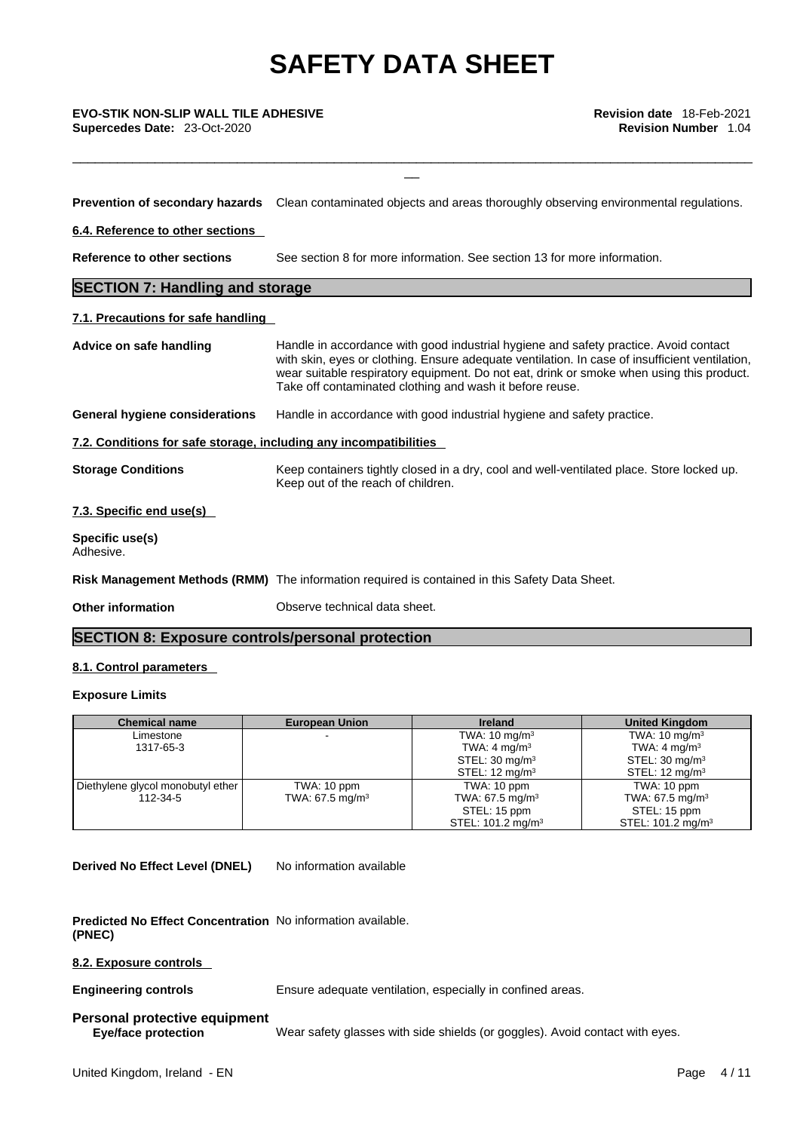\_\_ **EVO-STIK NON-SLIP WALL TILE ADHESIVE Revision date** 18-Feb-2021 **Supercedes Date:** 23-Oct-2020 **Revision Number** 1.04

**Prevention of secondary hazards** Clean contaminated objects and areas thoroughly observing environmental regulations.

\_\_\_\_\_\_\_\_\_\_\_\_\_\_\_\_\_\_\_\_\_\_\_\_\_\_\_\_\_\_\_\_\_\_\_\_\_\_\_\_\_\_\_\_\_\_\_\_\_\_\_\_\_\_\_\_\_\_\_\_\_\_\_\_\_\_\_\_\_\_\_\_\_\_\_\_\_\_\_\_\_\_\_\_\_\_\_\_\_\_\_

**6.4. Reference to other sections** 

**Reference to other sections** See section 8 for more information. See section 13 for more information.

# **SECTION 7: Handling and storage**

### **7.1. Precautions for safe handling**

| Advice on safe handling                                           | Handle in accordance with good industrial hygiene and safety practice. Avoid contact<br>with skin, eyes or clothing. Ensure adequate ventilation. In case of insufficient ventilation,<br>wear suitable respiratory equipment. Do not eat, drink or smoke when using this product.<br>Take off contaminated clothing and wash it before reuse. |
|-------------------------------------------------------------------|------------------------------------------------------------------------------------------------------------------------------------------------------------------------------------------------------------------------------------------------------------------------------------------------------------------------------------------------|
| General hygiene considerations                                    | Handle in accordance with good industrial hygiene and safety practice.                                                                                                                                                                                                                                                                         |
| 7.2. Conditions for safe storage, including any incompatibilities |                                                                                                                                                                                                                                                                                                                                                |
| <b>Storage Conditions</b>                                         | Keep containers tightly closed in a dry, cool and well-ventilated place. Store locked up.<br>Keep out of the reach of children.                                                                                                                                                                                                                |
| 7.3. Specific end use(s)                                          |                                                                                                                                                                                                                                                                                                                                                |
| Specific use(s)<br>Adhesive.                                      |                                                                                                                                                                                                                                                                                                                                                |
|                                                                   | Risk Management Methods (RMM) The information required is contained in this Safety Data Sheet.                                                                                                                                                                                                                                                 |

**Other information Observe technical data sheet.** 

# **SECTION 8: Exposure controls/personal protection**

# **8.1. Control parameters**

### **Exposure Limits**

| <b>Chemical name</b>              | <b>European Union</b>      | <b>Ireland</b>                | <b>United Kingdom</b>         |
|-----------------------------------|----------------------------|-------------------------------|-------------------------------|
| Limestone                         |                            | TWA: $10 \text{ mg/m}^3$      | TWA: $10 \text{ mg/m}^3$      |
| 1317-65-3                         |                            | TWA: $4 \text{ mg/m}^3$       | TWA: $4 \text{ mg/m}^3$       |
|                                   |                            | STEL: $30 \text{ mg/m}^3$     | STEL: $30 \text{ mg/m}^3$     |
|                                   |                            | STEL: $12 \text{ mg/m}^3$     | STEL: $12 \text{ mg/m}^3$     |
| Diethylene glycol monobutyl ether | TWA: 10 ppm                | TWA: 10 ppm                   | TWA: 10 ppm                   |
| 112-34-5                          | TWA: $67.5 \text{ mg/m}^3$ | TWA: 67.5 mg/m <sup>3</sup>   | TWA: 67.5 mg/m <sup>3</sup>   |
|                                   |                            | STEL: 15 ppm                  | STEL: 15 ppm                  |
|                                   |                            | STEL: 101.2 mg/m <sup>3</sup> | STEL: 101.2 mg/m <sup>3</sup> |

**Derived No Effect Level (DNEL)** No information available

**Predicted No Effect Concentration** No information available. **(PNEC)** 

## **8.2. Exposure controls**

**Engineering controls** Ensure adequate ventilation, especially in confined areas.

# **Personal protective equipment**

**Eye/face protection** Wear safety glasses with side shields (or goggles). Avoid contact with eyes.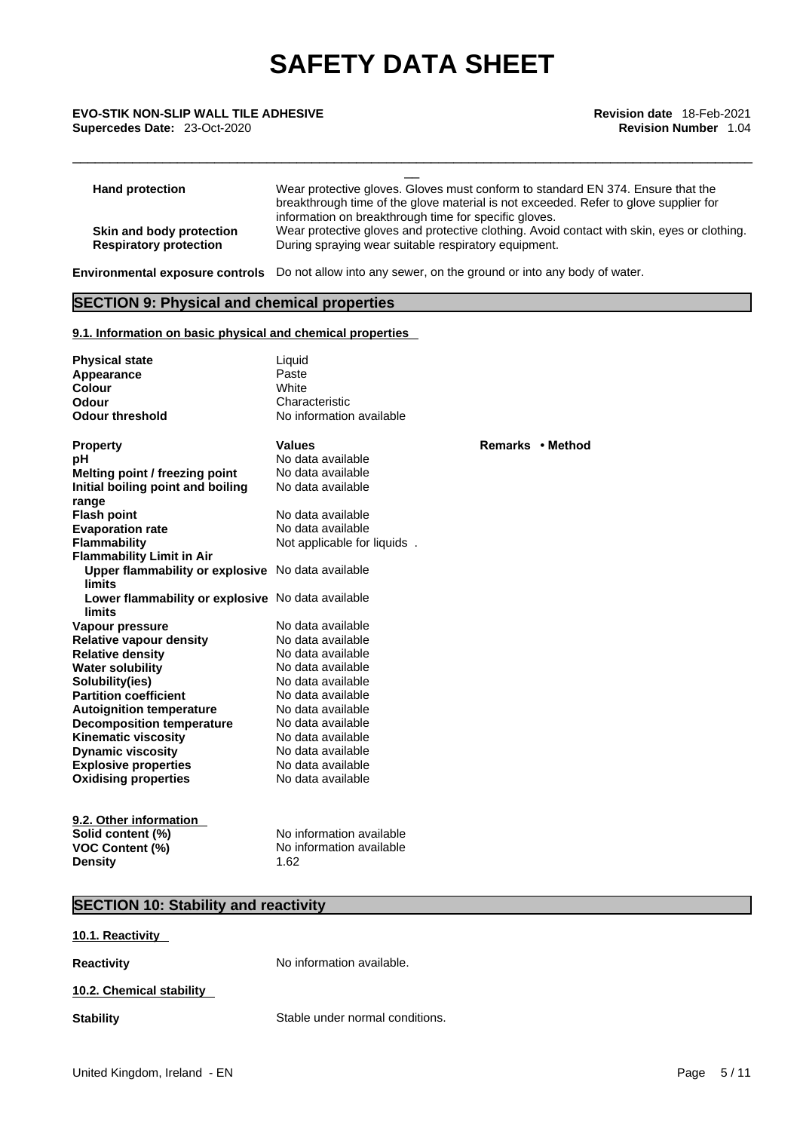\_\_ **EVO-STIK NON-SLIP WALL TILE ADHESIVE Revision date** 18-Feb-2021 **Supercedes Date:** 23-Oct-2020 **Revision Number** 1.04

| <b>Hand protection</b>        | Wear protective gloves. Gloves must conform to standard EN 374. Ensure that the<br>breakthrough time of the glove material is not exceeded. Refer to glove supplier for |
|-------------------------------|-------------------------------------------------------------------------------------------------------------------------------------------------------------------------|
|                               | information on breakthrough time for specific gloves.                                                                                                                   |
| Skin and body protection      | Wear protective gloves and protective clothing. Avoid contact with skin, eyes or clothing.                                                                              |
| <b>Respiratory protection</b> | During spraying wear suitable respiratory equipment.                                                                                                                    |

\_\_\_\_\_\_\_\_\_\_\_\_\_\_\_\_\_\_\_\_\_\_\_\_\_\_\_\_\_\_\_\_\_\_\_\_\_\_\_\_\_\_\_\_\_\_\_\_\_\_\_\_\_\_\_\_\_\_\_\_\_\_\_\_\_\_\_\_\_\_\_\_\_\_\_\_\_\_\_\_\_\_\_\_\_\_\_\_\_\_\_

**Environmental exposure controls** Do not allow into any sewer, on the ground or into any body of water.

# **SECTION 9: Physical and chemical properties**

# **9.1. Information on basic physical and chemical properties**

| <b>Physical state</b><br>Appearance<br>Colour<br>Odour<br><b>Odour threshold</b> | Liquid<br>Paste<br><b>White</b><br>Characteristic<br>No information available |                  |  |
|----------------------------------------------------------------------------------|-------------------------------------------------------------------------------|------------------|--|
| <b>Property</b>                                                                  | <b>Values</b>                                                                 | Remarks • Method |  |
| рH                                                                               | No data available                                                             |                  |  |
| Melting point / freezing point                                                   | No data available                                                             |                  |  |
| Initial boiling point and boiling<br>range                                       | No data available                                                             |                  |  |
| <b>Flash point</b>                                                               | No data available                                                             |                  |  |
| <b>Evaporation rate</b>                                                          | No data available                                                             |                  |  |
| <b>Flammability</b>                                                              | Not applicable for liquids.                                                   |                  |  |
| <b>Flammability Limit in Air</b>                                                 |                                                                               |                  |  |
| Upper flammability or explosive No data available<br><b>limits</b>               |                                                                               |                  |  |
| Lower flammability or explosive No data available<br><b>limits</b>               |                                                                               |                  |  |
| Vapour pressure                                                                  | No data available                                                             |                  |  |
| <b>Relative vapour density</b>                                                   | No data available                                                             |                  |  |
| <b>Relative density</b>                                                          | No data available                                                             |                  |  |
| <b>Water solubility</b>                                                          | No data available                                                             |                  |  |
| Solubility(ies)                                                                  | No data available                                                             |                  |  |
| <b>Partition coefficient</b>                                                     | No data available                                                             |                  |  |
| <b>Autoignition temperature</b>                                                  | No data available                                                             |                  |  |
| <b>Decomposition temperature</b>                                                 | No data available                                                             |                  |  |
| <b>Kinematic viscosity</b>                                                       | No data available                                                             |                  |  |
| <b>Dynamic viscosity</b>                                                         | No data available                                                             |                  |  |
| <b>Explosive properties</b>                                                      | No data available                                                             |                  |  |
| <b>Oxidising properties</b>                                                      | No data available                                                             |                  |  |
| 9.2. Other information                                                           |                                                                               |                  |  |
| Solid content (%)                                                                | No information available                                                      |                  |  |
| <b>VOC Content (%)</b>                                                           | No information available                                                      |                  |  |
| <b>Density</b>                                                                   | 1.62                                                                          |                  |  |

# **SECTION 10: Stability and reactivity**

**10.1. Reactivity** 

**Reactivity No information available.** 

## **10.2. Chemical stability**

**Stability** Stable under normal conditions.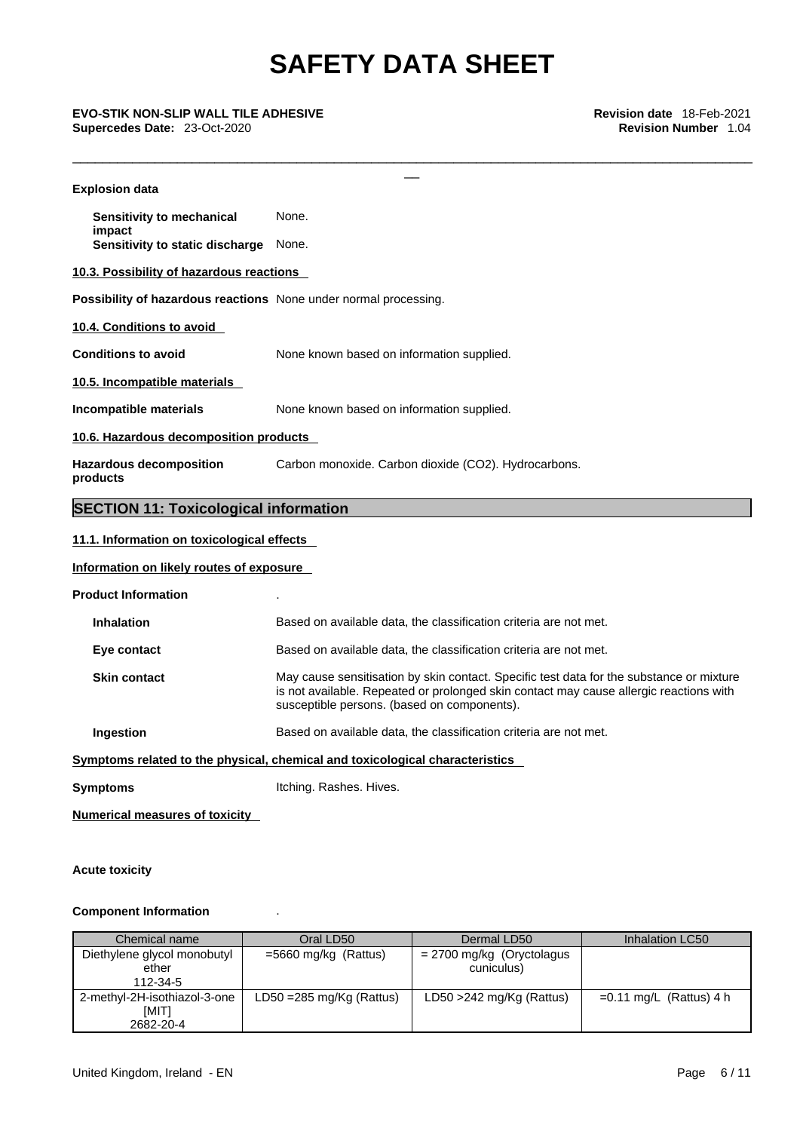# **Supercedes Date:** 23-Oct-2020 **Revision Number** 1.04

| <b>EVO-STIK NON-SLIP WALL TILE ADHESIVE</b><br>Supercedes Date: 23-Oct-2020 | Revision date 18-Feb-2021<br><b>Revision Number</b> 1.04                                                                                                                                                                          |
|-----------------------------------------------------------------------------|-----------------------------------------------------------------------------------------------------------------------------------------------------------------------------------------------------------------------------------|
| <b>Explosion data</b>                                                       |                                                                                                                                                                                                                                   |
| Sensitivity to mechanical                                                   | None.                                                                                                                                                                                                                             |
| impact<br>Sensitivity to static discharge None.                             |                                                                                                                                                                                                                                   |
| 10.3. Possibility of hazardous reactions                                    |                                                                                                                                                                                                                                   |
| Possibility of hazardous reactions None under normal processing.            |                                                                                                                                                                                                                                   |
| 10.4. Conditions to avoid                                                   |                                                                                                                                                                                                                                   |
| <b>Conditions to avoid</b>                                                  | None known based on information supplied.                                                                                                                                                                                         |
| 10.5. Incompatible materials                                                |                                                                                                                                                                                                                                   |
| Incompatible materials                                                      | None known based on information supplied.                                                                                                                                                                                         |
| 10.6. Hazardous decomposition products                                      |                                                                                                                                                                                                                                   |
| <b>Hazardous decomposition</b><br>products                                  | Carbon monoxide. Carbon dioxide (CO2). Hydrocarbons.                                                                                                                                                                              |
| <b>SECTION 11: Toxicological information</b>                                |                                                                                                                                                                                                                                   |
| 11.1. Information on toxicological effects                                  |                                                                                                                                                                                                                                   |
| Information on likely routes of exposure                                    |                                                                                                                                                                                                                                   |
| <b>Product Information</b>                                                  |                                                                                                                                                                                                                                   |
| <b>Inhalation</b>                                                           | Based on available data, the classification criteria are not met.                                                                                                                                                                 |
| Eye contact                                                                 | Based on available data, the classification criteria are not met.                                                                                                                                                                 |
| <b>Skin contact</b>                                                         | May cause sensitisation by skin contact. Specific test data for the substance or mixture<br>is not available. Repeated or prolonged skin contact may cause allergic reactions with<br>susceptible persons. (based on components). |
| Ingestion                                                                   | Based on available data, the classification criteria are not met.                                                                                                                                                                 |
|                                                                             | Symptoms related to the physical, chemical and toxicological characteristics                                                                                                                                                      |
| <b>Symptoms</b>                                                             | Itching. Rashes. Hives.                                                                                                                                                                                                           |
| <b>Numerical measures of toxicity</b>                                       |                                                                                                                                                                                                                                   |

# **Acute toxicity**

# **Component Information** .

| Chemical name                         | Oral LD50                   | Dermal LD50                               | <b>Inhalation LC50</b>    |
|---------------------------------------|-----------------------------|-------------------------------------------|---------------------------|
| Diethylene glycol monobutyl<br>ether  | $=5660$ mg/kg (Rattus)      | $= 2700$ mg/kg (Oryctolagus<br>cuniculus) |                           |
| 112-34-5                              |                             |                                           |                           |
| 2-methyl-2H-isothiazol-3-one<br>[MIT] | $LD50 = 285$ mg/Kg (Rattus) | LD50 $>$ 242 mg/Kg (Rattus)               | $=0.11$ mg/L (Rattus) 4 h |
| 2682-20-4                             |                             |                                           |                           |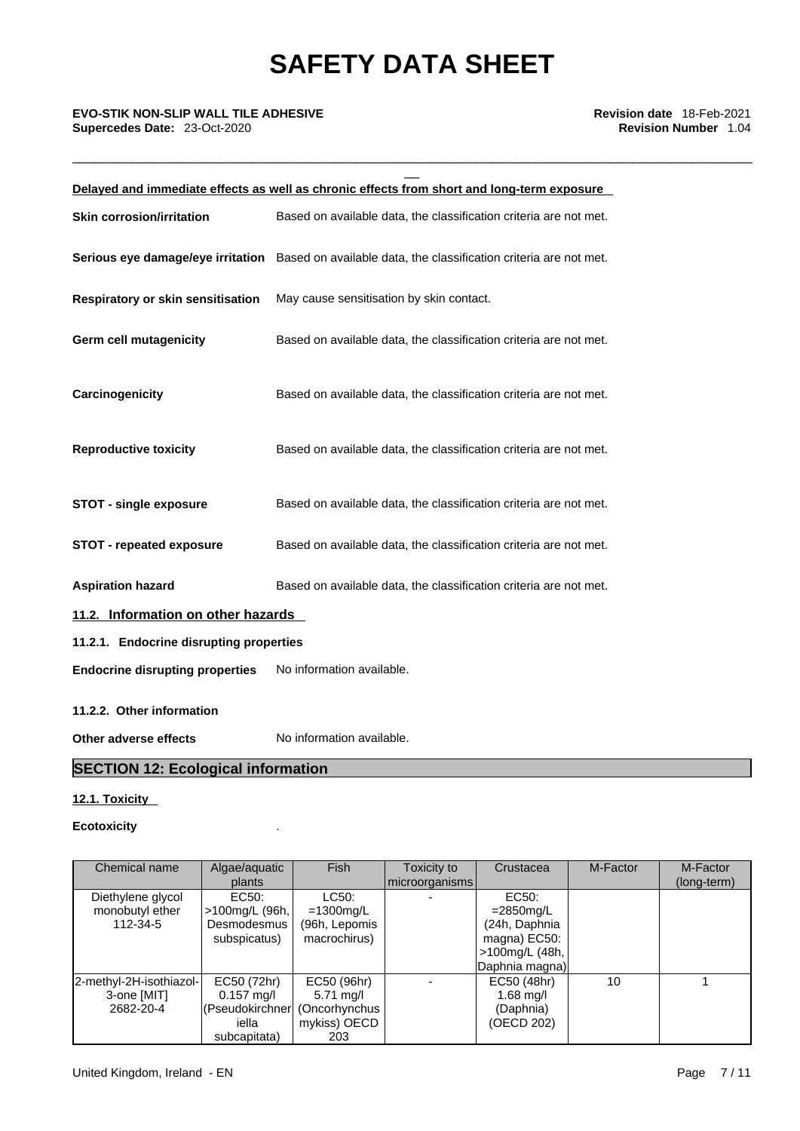\_\_\_\_\_\_\_\_\_\_\_\_\_\_\_\_\_\_\_\_\_\_\_\_\_\_\_\_\_\_\_\_\_\_\_\_\_\_\_\_\_\_\_\_\_\_\_\_\_\_\_\_\_\_\_\_\_\_\_\_\_\_\_\_\_\_\_\_\_\_\_\_\_\_\_\_\_\_\_\_\_\_\_\_\_\_\_\_\_\_\_

# \_\_ **EVO-STIK NON-SLIP WALL TILE ADHESIVE Revision date** 18-Feb-2021 **Supercedes Date:** 23-Oct-2020 **Revision Number** 1.04

|                                          | Delayed and immediate effects as well as chronic effects from short and long-term exposure          |
|------------------------------------------|-----------------------------------------------------------------------------------------------------|
| <b>Skin corrosion/irritation</b>         | Based on available data, the classification criteria are not met.                                   |
|                                          | Serious eye damage/eye irritation Based on available data, the classification criteria are not met. |
| <b>Respiratory or skin sensitisation</b> | May cause sensitisation by skin contact.                                                            |
| <b>Germ cell mutagenicity</b>            | Based on available data, the classification criteria are not met.                                   |
| Carcinogenicity                          | Based on available data, the classification criteria are not met.                                   |
| <b>Reproductive toxicity</b>             | Based on available data, the classification criteria are not met.                                   |
| <b>STOT - single exposure</b>            | Based on available data, the classification criteria are not met.                                   |
| <b>STOT - repeated exposure</b>          | Based on available data, the classification criteria are not met.                                   |
| <b>Aspiration hazard</b>                 | Based on available data, the classification criteria are not met.                                   |
| 11.2. Information on other hazards       |                                                                                                     |
| 11.2.1. Endocrine disrupting properties  |                                                                                                     |
| <b>Endocrine disrupting properties</b>   | No information available.                                                                           |
| 11.2.2. Other information                |                                                                                                     |
| Other adverse effects                    | No information available.                                                                           |

# **SECTION 12: Ecological information**

# **12.1. Toxicity**

## **Ecotoxicity** .

| Chemical name           | Algae/aquatic        | <b>Fish</b>         | Toxicity to    | Crustacea      | M-Factor | M-Factor    |
|-------------------------|----------------------|---------------------|----------------|----------------|----------|-------------|
|                         | plants               |                     | microorganisms |                |          | (long-term) |
| Diethylene glycol       | EC50:                | LC50:               |                | EC50:          |          |             |
| monobutyl ether         | >100mg/L (96h,       | $=1300$ mg/L        |                | $=$ 2850 mg/L  |          |             |
| 112-34-5                | Desmodesmus          | (96h, Lepomis       |                | (24h, Daphnia  |          |             |
|                         | subspicatus)         | macrochirus)        |                | magna) EC50:   |          |             |
|                         |                      |                     |                | >100mg/L (48h, |          |             |
|                         |                      |                     |                | Daphnia magna) |          |             |
| 2-methyl-2H-isothiazol- | EC50 (72hr)          | EC50 (96hr)         |                | EC50 (48hr)    | 10       |             |
| 3-one [MIT]             | $0.157 \text{ mg/l}$ | $5.71 \text{ mq/l}$ |                | $1.68$ mg/l    |          |             |
| 2682-20-4               | (Pseudokirchner      | (Oncorhynchus       |                | (Daphnia)      |          |             |
|                         | iella                | mykiss) OECD        |                | (OECD 202)     |          |             |
|                         | subcapitata)         | 203                 |                |                |          |             |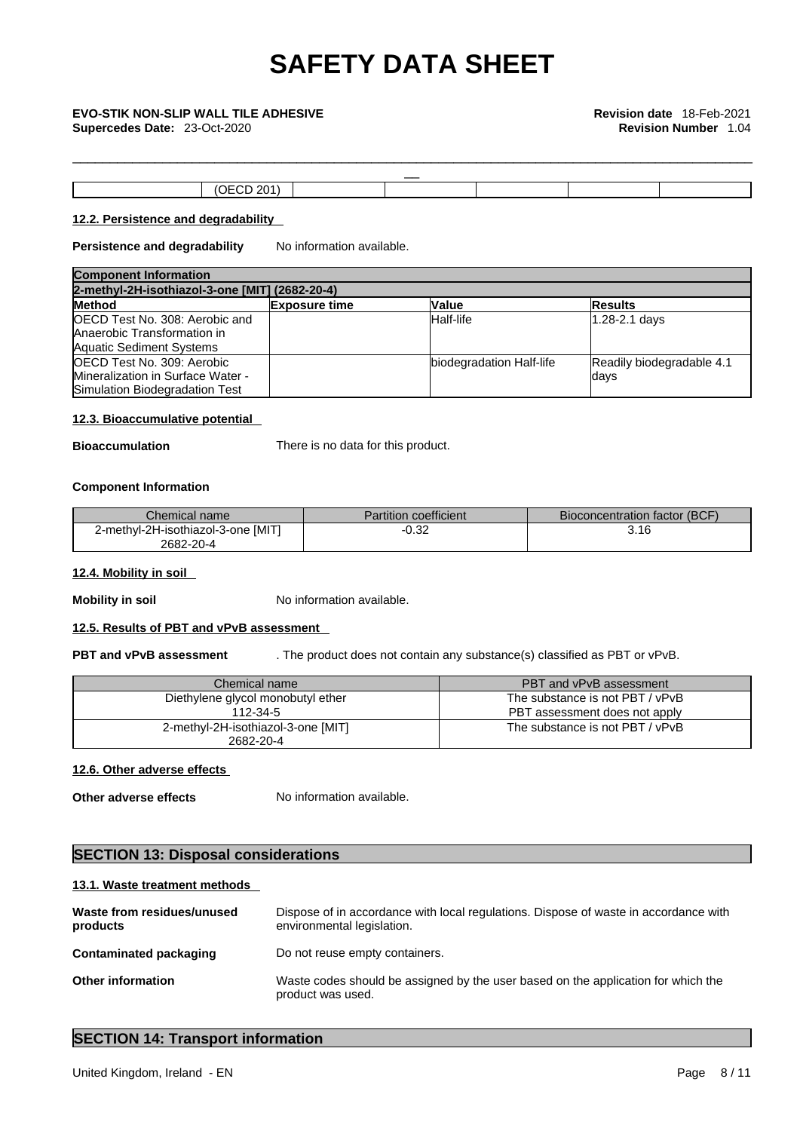**Supercedes Date:** 23-Oct-2020 **Revision Number** 1.04

| $\overline{\phantom{a}}$ |              |  |  |  |
|--------------------------|--------------|--|--|--|
|                          | __<br>______ |  |  |  |

\_\_\_\_\_\_\_\_\_\_\_\_\_\_\_\_\_\_\_\_\_\_\_\_\_\_\_\_\_\_\_\_\_\_\_\_\_\_\_\_\_\_\_\_\_\_\_\_\_\_\_\_\_\_\_\_\_\_\_\_\_\_\_\_\_\_\_\_\_\_\_\_\_\_\_\_\_\_\_\_\_\_\_\_\_\_\_\_\_\_\_

# **12.2. Persistence and degradability**

**Persistence and degradability** No information available.

| <b>Component Information</b>                   |                      |                          |                           |  |  |
|------------------------------------------------|----------------------|--------------------------|---------------------------|--|--|
| 2-methyl-2H-isothiazol-3-one [MIT] (2682-20-4) |                      |                          |                           |  |  |
| <b>Method</b>                                  | <b>Exposure time</b> | <b>Value</b>             | <b>Results</b>            |  |  |
| <b>OECD Test No. 308: Aerobic and</b>          |                      | Half-life                | 1.28-2.1 days             |  |  |
| Anaerobic Transformation in                    |                      |                          |                           |  |  |
| <b>Aquatic Sediment Systems</b>                |                      |                          |                           |  |  |
| OECD Test No. 309: Aerobic                     |                      | biodegradation Half-life | Readily biodegradable 4.1 |  |  |
| Mineralization in Surface Water -              |                      |                          | ldays                     |  |  |
| Simulation Biodegradation Test                 |                      |                          |                           |  |  |

### **12.3. Bioaccumulative potential**

**Bioaccumulation** There is no data for this product.

### **Component Information**

| Chemical name                      | Partition coefficient | Bioconcentration factor (BCF) |
|------------------------------------|-----------------------|-------------------------------|
| 2-methyl-2H-isothiazol-3-one [MIT] | م مد<br>--<br>∪.∪∠    | 3.16                          |
| 2682-20-4                          |                       |                               |

### **12.4. Mobility in soil**

**Mobility in soil** No information available.

# **12.5. Results of PBT and vPvB assessment**

**PBT and vPvB assessment** . The product does not contain any substance(s) classified as PBT or vPvB.

| Chemical name                                   | PBT and vPvB assessment         |
|-------------------------------------------------|---------------------------------|
| Diethylene glycol monobutyl ether               | The substance is not PBT / vPvB |
| 112-34-5                                        | PBT assessment does not apply   |
| 2-methyl-2H-isothiazol-3-one [MIT]<br>2682-20-4 | The substance is not PBT / vPvB |

# **12.6. Other adverse effects**

**Other adverse effects** No information available.

# **SECTION 13: Disposal considerations**

### **13.1. Waste treatment methods**

| Waste from residues/unused<br>products | Dispose of in accordance with local regulations. Dispose of waste in accordance with<br>environmental legislation. |
|----------------------------------------|--------------------------------------------------------------------------------------------------------------------|
| Contaminated packaging                 | Do not reuse empty containers.                                                                                     |
| <b>Other information</b>               | Waste codes should be assigned by the user based on the application for which the<br>product was used.             |

# **SECTION 14: Transport information**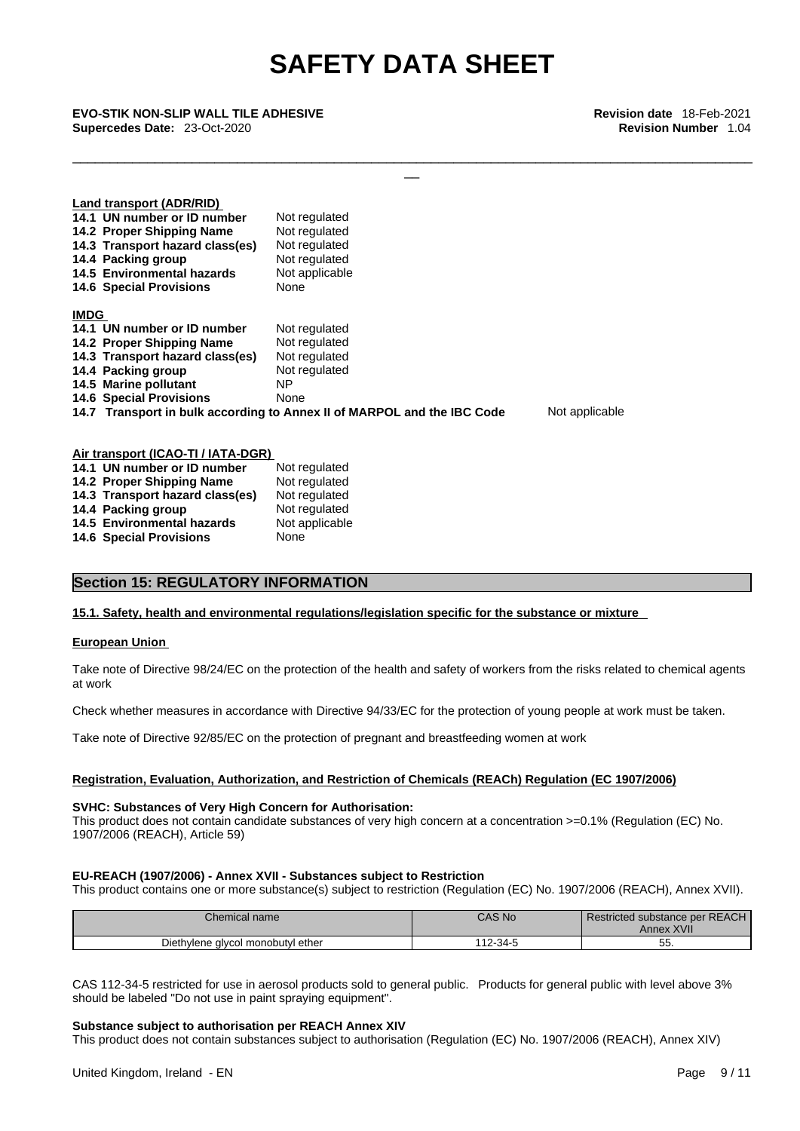\_\_\_\_\_\_\_\_\_\_\_\_\_\_\_\_\_\_\_\_\_\_\_\_\_\_\_\_\_\_\_\_\_\_\_\_\_\_\_\_\_\_\_\_\_\_\_\_\_\_\_\_\_\_\_\_\_\_\_\_\_\_\_\_\_\_\_\_\_\_\_\_\_\_\_\_\_\_\_\_\_\_\_\_\_\_\_\_\_\_\_

\_\_ **EVO-STIK NON-SLIP WALL TILE ADHESIVE Revision date** 18-Feb-2021 **Supercedes Date:** 23-Oct-2020 **Revision Number** 1.04

|                                                                                           | Land transport (ADR/RID)           |                |  |
|-------------------------------------------------------------------------------------------|------------------------------------|----------------|--|
|                                                                                           | 14.1 UN number or ID number        | Not regulated  |  |
|                                                                                           | 14.2 Proper Shipping Name          | Not regulated  |  |
|                                                                                           | 14.3 Transport hazard class(es)    | Not regulated  |  |
|                                                                                           | 14.4 Packing group                 | Not regulated  |  |
|                                                                                           | 14.5 Environmental hazards         | Not applicable |  |
|                                                                                           | <b>14.6 Special Provisions</b>     | None           |  |
| <b>IMDG</b>                                                                               |                                    |                |  |
|                                                                                           | 14.1 UN number or ID number        | Not regulated  |  |
|                                                                                           | 14.2 Proper Shipping Name          | Not regulated  |  |
|                                                                                           | 14.3 Transport hazard class(es)    | Not regulated  |  |
|                                                                                           | 14.4 Packing group                 | Not regulated  |  |
|                                                                                           | 14.5 Marine pollutant              | ΝP             |  |
|                                                                                           | <b>14.6 Special Provisions</b>     | None           |  |
| Not applicable<br>14.7 Transport in bulk according to Annex II of MARPOL and the IBC Code |                                    |                |  |
|                                                                                           |                                    |                |  |
|                                                                                           | Air transport (ICAO-TI / IATA-DGR) |                |  |

| All transport (IOAO TITIATA DON) |                |
|----------------------------------|----------------|
| 14.1 UN number or ID number      | Not regulated  |
| 14.2 Proper Shipping Name        | Not regulated  |
| 14.3 Transport hazard class(es)  | Not regulated  |
| 14.4 Packing group               | Not regulated  |
| 14.5 Environmental hazards       | Not applicable |
| <b>14.6 Special Provisions</b>   | None           |
|                                  |                |

# **Section 15: REGULATORY INFORMATION**

### **15.1. Safety, health and environmental regulations/legislation specific for the substance or mixture**

#### **European Union**

Take note of Directive 98/24/EC on the protection of the health and safety of workers from the risks related to chemical agents at work

Check whether measures in accordance with Directive 94/33/EC for the protection of young people at work must be taken.

Take note of Directive 92/85/EC on the protection of pregnant and breastfeeding women at work

#### **Registration, Evaluation, Authorization, and Restriction of Chemicals (REACh) Regulation (EC 1907/2006)**

#### **SVHC: Substances of Very High Concern for Authorisation:**

This product does not contain candidate substances of very high concern at a concentration >=0.1% (Regulation (EC) No. 1907/2006 (REACH), Article 59)

### **EU-REACH (1907/2006) - Annex XVII - Substances subject to Restriction**

This product contains one or more substance(s) subject to restriction (Regulation (EC) No. 1907/2006 (REACH), Annex XVII).

| Chemical name                     | CAS No        | Restricted substance per REACH<br><b>Annex XVII</b> |
|-----------------------------------|---------------|-----------------------------------------------------|
| Diethylene alvcol monobutyl ether | $12 - 34 - 5$ | --<br>∽<br>ູບປ                                      |

CAS 112-34-5 restricted for use in aerosol products sold to general public. Products for general public with level above 3% should be labeled "Do not use in paint spraying equipment".

### **Substance subject to authorisation per REACH Annex XIV**

This product does not contain substances subject to authorisation (Regulation (EC) No. 1907/2006 (REACH), Annex XIV)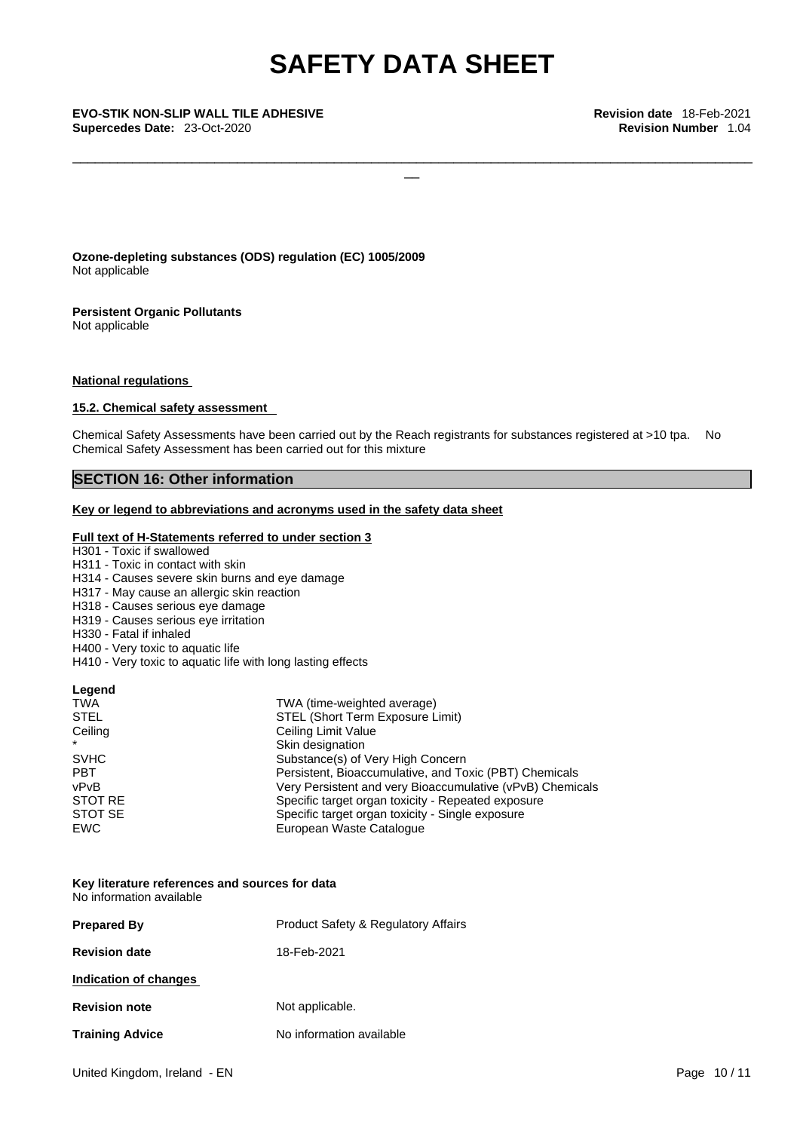\_\_\_\_\_\_\_\_\_\_\_\_\_\_\_\_\_\_\_\_\_\_\_\_\_\_\_\_\_\_\_\_\_\_\_\_\_\_\_\_\_\_\_\_\_\_\_\_\_\_\_\_\_\_\_\_\_\_\_\_\_\_\_\_\_\_\_\_\_\_\_\_\_\_\_\_\_\_\_\_\_\_\_\_\_\_\_\_\_\_\_

\_\_ **EVO-STIK NON-SLIP WALL TILE ADHESIVE Revision date** 18-Feb-2021 **Supercedes Date:** 23-Oct-2020 **Revision Number** 1.04

**Ozone-depleting substances (ODS) regulation (EC) 1005/2009** Not applicable

**Persistent Organic Pollutants** Not applicable

**National regulations**

## **15.2. Chemical safety assessment**

Chemical Safety Assessments have been carried out by the Reach registrants for substances registered at >10 tpa. No Chemical Safety Assessment has been carried out for this mixture

# **SECTION 16: Other information**

## **Key or legend to abbreviations and acronyms used in the safety data sheet**

#### **Full text of H-Statements referred to under section 3**

H301 - Toxic if swallowed

- H311 Toxic in contact with skin
- H314 Causes severe skin burns and eye damage
- H317 May cause an allergic skin reaction
- H318 Causes serious eye damage
- H319 Causes serious eye irritation
- H330 Fatal if inhaled
- H400 Very toxic to aquatic life
- H410 Very toxic to aquatic life with long lasting effects

#### **Legend**

| <b>TWA</b>  | TWA (time-weighted average)                               |
|-------------|-----------------------------------------------------------|
| <b>STEL</b> | STEL (Short Term Exposure Limit)                          |
| Ceiling     | Ceiling Limit Value                                       |
| $\star$     | Skin designation                                          |
| <b>SVHC</b> | Substance(s) of Very High Concern                         |
| <b>PBT</b>  | Persistent, Bioaccumulative, and Toxic (PBT) Chemicals    |
| vPvB        | Very Persistent and very Bioaccumulative (vPvB) Chemicals |
| STOT RE     | Specific target organ toxicity - Repeated exposure        |
| STOT SE     | Specific target organ toxicity - Single exposure          |
| <b>EWC</b>  | European Waste Catalogue                                  |

#### **Key literature references and sources for data** No information available

| <b>Prepared By</b>     | <b>Product Safety &amp; Regulatory Affairs</b> |
|------------------------|------------------------------------------------|
| <b>Revision date</b>   | 18-Feb-2021                                    |
| Indication of changes  |                                                |
| <b>Revision note</b>   | Not applicable.                                |
| <b>Training Advice</b> | No information available                       |